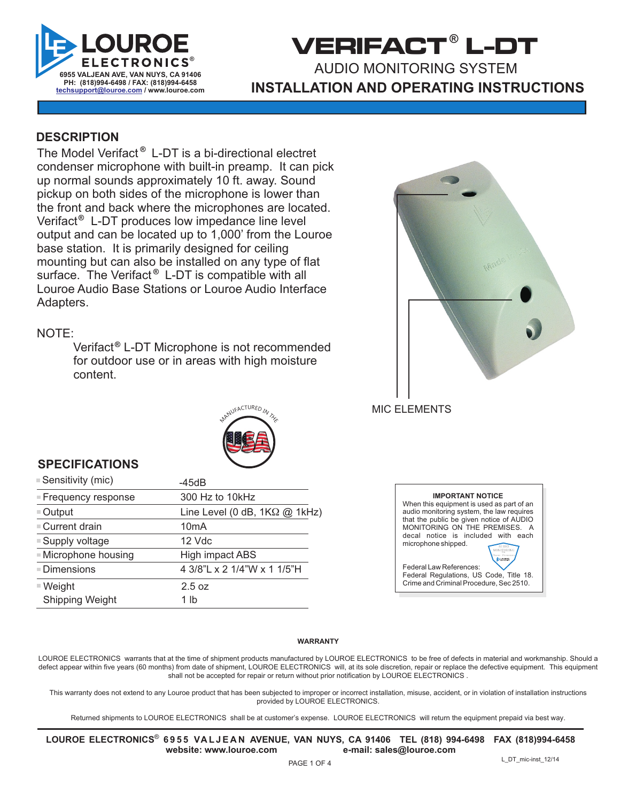

## **VERIFACT L-DT ®** AUDIO MONITORING SYSTEM **INSTALLATION AND OPERATING INSTRUCTIONS**

#### **DESCRIPTION**

The Model Verifact<sup>®</sup> L-DT is a bi-directional electret condenser microphone with built-in preamp. It can pick up normal sounds approximately 10 ft. away. Sound pickup on both sides of the microphone is lower than the front and back where the microphones are located. Verifact<sup>®</sup> L-DT produces low impedance line level output and can be located up to 1,000' from the Louroe base station. It is primarily designed for ceiling mounting but can also be installed on any type of flat surface. The Verifact<sup>®</sup> L-DT is compatible with all Louroe Audio Base Stations or Louroe Audio Interface Adapters.

#### NOTE:

Verifact<sup>®</sup> L-DT Microphone is not recommended for outdoor use or in areas with high moisture content.



MIC ELEMENTS

# NANUFACTURED IN THE E

#### **SPECIFICATIONS**

| ■ Sensitivity (mic)   | -45dB                                |
|-----------------------|--------------------------------------|
| ■ Frequency response  | 300 Hz to 10kHz                      |
| $\blacksquare$ Output | Line Level (0 dB, $1K\Omega$ @ 1kHz) |
| ■ Current drain       | 10 <sub>m</sub> A                    |
| ■ Supply voltage      | 12 Vdc                               |
| ■ Microphone housing  | High impact ABS                      |
| ■ Dimensions          | 4 3/8"L x 2 1/4"W x 1 1/5"H          |
| $W$ eight             | 2.5 oz                               |
| Shipping Weight       | 1 lb                                 |

| <b>IMPORTANT NOTICE</b>                   |
|-------------------------------------------|
| When this equipment is used as part of an |
| audio monitoring system, the law requires |
| that the public be given notice of AUDIO  |
| MONITORING ON THE PREMISES. A             |
| decal notice is included with each        |
| microphone shipped.                       |
|                                           |
|                                           |
| Federal Law References:                   |
| Federal Regulations, US Code, Title 18.   |
| Crime and Criminal Procedure, Sec 2510.   |

#### **WARRANTY**

LOUROE ELECTRONICS warrants that at the time of shipment products manufactured by LOUROE ELECTRONICS to be free of defects in material and workmanship. Should a defect appear within five years (60 months) from date of shipment, LOUROE ELECTRONICS will, at its sole discretion, repair or replace the defective equipment. This equipment shall not be accepted for repair or return without prior notification by LOUROE ELECTRONICS .

This warranty does not extend to any Louroe product that has been subjected to improper or incorrect installation, misuse, accident, or in violation of installation instructions provided by LOUROE ELECTRONICS.

Returned shipments to LOUROE ELECTRONICS shall be at customer's expense. LOUROE ELECTRONICS will return the equipment prepaid via best way.

LOUROE ELECTRONICS® 6 9 5 5 VA L J E A N AVENUE, VAN NUYS, CA 91406 TEL (818) 994-6498 FAX (818)994-6458 **website: www.louroe.com e-mail: sales@louroe.com**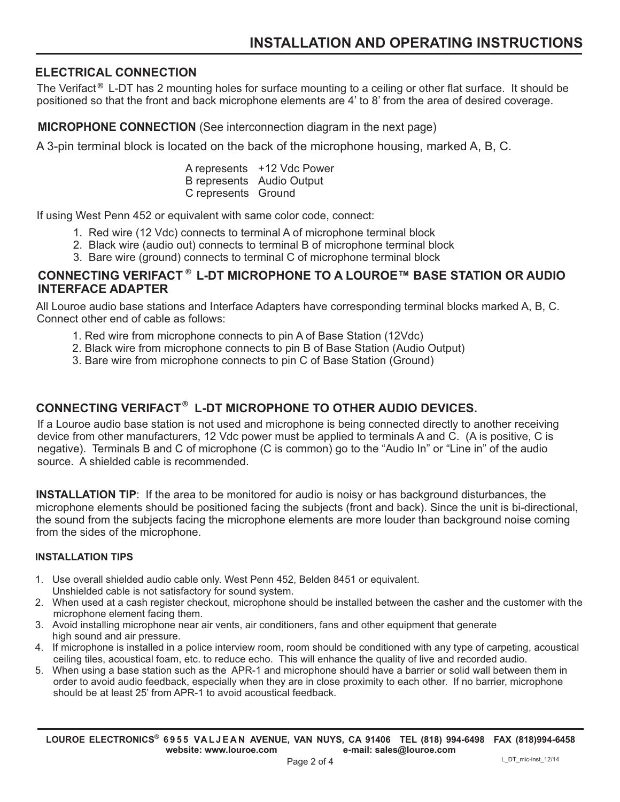#### **ELECTRICAL CONNECTION**

The Verifact<sup>®</sup> L-DT has 2 mounting holes for surface mounting to a ceiling or other flat surface. It should be positioned so that the front and back microphone elements are 4' to 8' from the area of desired coverage.

**MICROPHONE CONNECTION** (See interconnection diagram in the next page)

A 3-pin terminal block is located on the back of the microphone housing, marked A, B, C.

|                     | A represents +12 Vdc Power |
|---------------------|----------------------------|
|                     | B represents Audio Output  |
| C represents Ground |                            |

If using West Penn 452 or equivalent with same color code, connect:

- 1. Red wire (12 Vdc) connects to terminal A of microphone terminal block
- 2. Black wire (audio out) connects to terminal B of microphone terminal block
- 3. Bare wire (ground) connects to terminal C of microphone terminal block

#### **CONNECTING VERIFACT L-DT MICROPHONE TO A LOUROE™ BASE STATION OR AUDIO ® INTERFACE ADAPTER**

All Louroe audio base stations and Interface Adapters have corresponding terminal blocks marked A, B, C. Connect other end of cable as follows:

- 1. Red wire from microphone connects to pin A of Base Station (12Vdc)
- 2. Black wire from microphone connects to pin B of Base Station (Audio Output)
- 3. Bare wire from microphone connects to pin C of Base Station (Ground)

#### CONNECTING VERIFACT<sup>®</sup> L-DT MICROPHONE TO OTHER AUDIO DEVICES.

If a Louroe audio base station is not used and microphone is being connected directly to another receiving device from other manufacturers, 12 Vdc power must be applied to terminals A and C. (A is positive, C is negative). Terminals B and C of microphone (C is common) go to the "Audio In" or "Line in" of the audio source. A shielded cable is recommended.

**INSTALLATION TIP**: If the area to be monitored for audio is noisy or has background disturbances, the microphone elements should be positioned facing the subjects (front and back). Since the unit is bi-directional, the sound from the subjects facing the microphone elements are more louder than background noise coming from the sides of the microphone.

#### **INSTALLATION TIPS**

- 1. Use overall shielded audio cable only. West Penn 452, Belden 8451 or equivalent. Unshielded cable is not satisfactory for sound system.
- 2. When used at a cash register checkout, microphone should be installed between the casher and the customer with the microphone element facing them.
- 3. Avoid installing microphone near air vents, air conditioners, fans and other equipment that generate high sound and air pressure.
- 4. If microphone is installed in a police interview room, room should be conditioned with any type of carpeting, acoustical ceiling tiles, acoustical foam, etc. to reduce echo. This will enhance the quality of live and recorded audio.
- 5. When using a base station such as the APR-1 and microphone should have a barrier or solid wall between them in order to avoid audio feedback, especially when they are in close proximity to each other. If no barrier, microphone should be at least 25' from APR-1 to avoid acoustical feedback.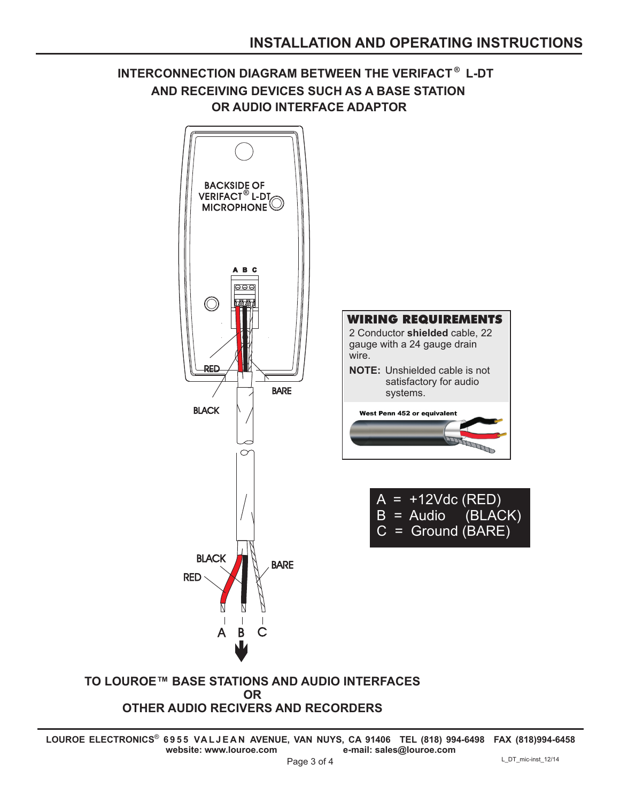### INTERCONNECTION DIAGRAM BETWEEN THE VERIFACT<sup>®</sup> L-DT **AND RECEIVING DEVICES SUCH AS A BASE STATION OR AUDIO INTERFACE ADAPTOR**



#### **OTHER AUDIO RECIVERS AND RECORDERS**

**LOUROE ELECTRONICS 6 9 5 5 VA L J E A N AVENUE, VAN NUYS, CA 91406 TEL (818) 994-6498 FAX 994-6458 (818)** ® **website: www.louroe.com e-mail: sales@louroe.com**